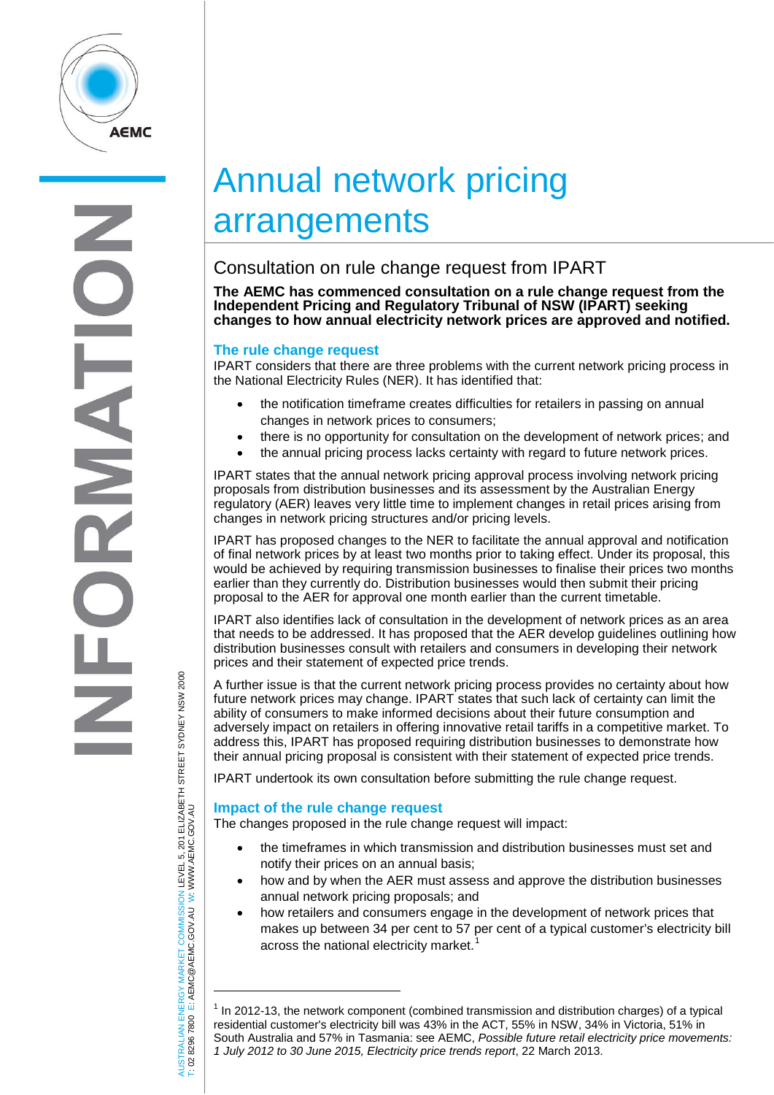

# Annual network pricing arrangements

# Consultation on rule change request from IPART

**The AEMC has commenced consultation on a rule change request from the Independent Pricing and Regulatory Tribunal of NSW (IPART) seeking changes to how annual electricity network prices are approved and notified.**

## **The rule change request**

IPART considers that there are three problems with the current network pricing process in the National Electricity Rules (NER). It has identified that:

- the notification timeframe creates difficulties for retailers in passing on annual changes in network prices to consumers;
- there is no opportunity for consultation on the development of network prices; and
- the annual pricing process lacks certainty with regard to future network prices.

IPART states that the annual network pricing approval process involving network pricing proposals from distribution businesses and its assessment by the Australian Energy regulatory (AER) leaves very little time to implement changes in retail prices arising from changes in network pricing structures and/or pricing levels.

IPART has proposed changes to the NER to facilitate the annual approval and notification of final network prices by at least two months prior to taking effect. Under its proposal, this would be achieved by requiring transmission businesses to finalise their prices two months earlier than they currently do. Distribution businesses would then submit their pricing proposal to the AER for approval one month earlier than the current timetable.

IPART also identifies lack of consultation in the development of network prices as an area that needs to be addressed. It has proposed that the AER develop guidelines outlining how distribution businesses consult with retailers and consumers in developing their network prices and their statement of expected price trends.

A further issue is that the current network pricing process provides no certainty about how future network prices may change. IPART states that such lack of certainty can limit the ability of consumers to make informed decisions about their future consumption and adversely impact on retailers in offering innovative retail tariffs in a competitive market. To address this, IPART has proposed requiring distribution businesses to demonstrate how their annual pricing proposal is consistent with their statement of expected price trends.

IPART undertook its own consultation before submitting the rule change request.

## **Impact of the rule change request**

The changes proposed in the rule change request will impact:

- the timeframes in which transmission and distribution businesses must set and notify their prices on an annual basis;
- how and by when the AER must assess and approve the distribution businesses annual network pricing proposals; and
- how retailers and consumers engage in the development of network prices that makes up between 34 per cent to 57 per cent of a typical customer's electricity bill across the national electricity market.

AUSTRALIAN ENERGY MARKET COMMISSION LEVEL 5, 201 ELIZABETH STREET SYDNEY NSW 2000<br>Γ: 02 8296 7800 E: AEMC@AEMC.GOV.AU W: WWW.AEMC.GOV.AU AUSTRALIAN ENERGY MARKET COMMISSION LEVEL 5, 201 ELIZABETH STREET SYDNEY NSW 2000 W: WWW.AEMC.GOV.AU T: 02 8296 7800 E: AEMC@AEMC.GOV.AU

j

<span id="page-0-0"></span> $<sup>1</sup>$  In 2012-13, the network component (combined transmission and distribution charges) of a typical</sup> residential customer's electricity bill was 43% in the ACT, 55% in NSW, 34% in Victoria, 51% in South Australia and 57% in Tasmania: see AEMC, *Possible future retail electricity price movements: 1 July 2012 to 30 June 2015, Electricity price trends report*, 22 March 2013.